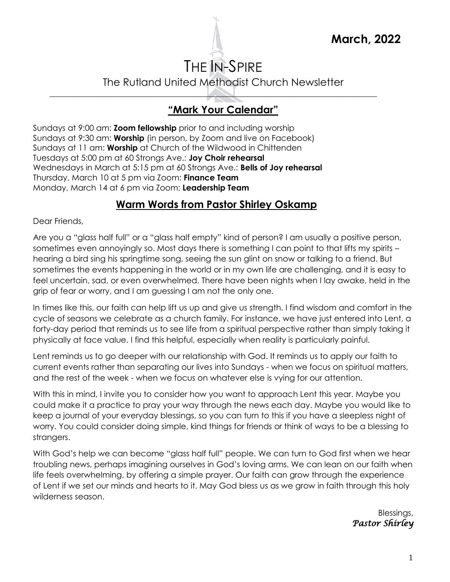

# THE IN-SPIRE The Rutland United Methodist Church Newsletter

# **"Mark Your Calendar"**

\_\_\_\_\_\_\_\_\_\_\_\_\_\_\_\_\_\_\_\_\_\_\_\_\_\_\_\_\_\_\_\_\_\_\_\_\_\_\_\_\_\_\_\_\_\_\_\_\_\_\_\_\_\_\_\_\_\_\_\_\_\_\_\_\_\_\_\_\_\_\_\_\_\_\_\_\_\_\_\_\_

Sundays at 9:00 am: **Zoom fellowship** prior to and including worship Sundays at 9:30 am: **Worship** (in person, by Zoom and live on Facebook) Sundays at 11 am: **Worship** at Church of the Wildwood in Chittenden Tuesdays at 5:00 pm at 60 Strongs Ave.: **Joy Choir rehearsal** Wednesdays in March at 5:15 pm at 60 Strongs Ave.: **Bells of Joy rehearsal**  Thursday, March 10 at 5 pm via Zoom: **Finance Team**  Monday, March 14 at 6 pm via Zoom: **Leadership Team**

#### **Warm Words from Pastor Shirley Oskamp**

Dear Friends,

Are you a "glass half full" or a "glass half empty" kind of person? I am usually a positive person, sometimes even annoyingly so. Most days there is something I can point to that lifts my spirits – hearing a bird sing his springtime song, seeing the sun glint on snow or talking to a friend. But sometimes the events happening in the world or in my own life are challenging, and it is easy to feel uncertain, sad, or even overwhelmed. There have been nights when I lay awake, held in the grip of fear or worry, and I am guessing I am not the only one.

In times like this, our faith can help lift us up and give us strength. I find wisdom and comfort in the cycle of seasons we celebrate as a church family. For instance, we have just entered into Lent, a forty-day period that reminds us to see life from a spiritual perspective rather than simply taking it physically at face value. I find this helpful, especially when reality is particularly painful.

Lent reminds us to go deeper with our relationship with God. It reminds us to apply our faith to current events rather than separating our lives into Sundays - when we focus on spiritual matters, and the rest of the week - when we focus on whatever else is vying for our attention.

With this in mind, I invite you to consider how you want to approach Lent this year. Maybe you could make it a practice to pray your way through the news each day. Maybe you would like to keep a journal of your everyday blessings, so you can turn to this if you have a sleepless night of worry. You could consider doing simple, kind things for friends or think of ways to be a blessing to strangers.

With God's help we can become "glass half full" people. We can turn to God first when we hear troubling news, perhaps imagining ourselves in God's loving arms. We can lean on our faith when life feels overwhelming, by offering a simple prayer. Our faith can grow through the experience of Lent if we set our minds and hearts to it. May God bless us as we grow in faith through this holy wilderness season.

> Blessings, *Pastor Shirley*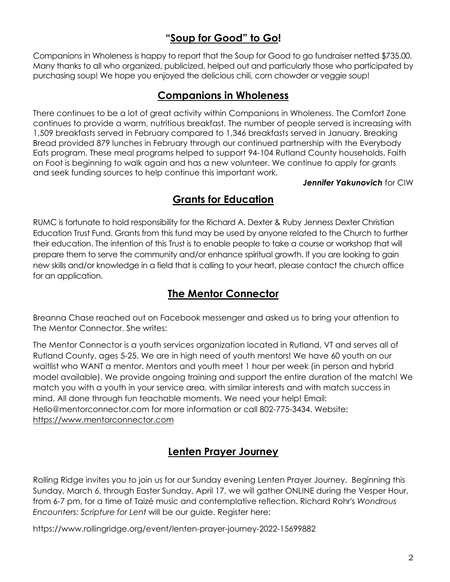## **"Soup for Good" to Go!**

Companions in Wholeness is happy to report that the Soup for Good to go fundraiser netted \$735.00. Many thanks to all who organized, publicized, helped out and particularly those who participated by purchasing soup! We hope you enjoyed the delicious chili, corn chowder or veggie soup!

#### **Companions in Wholeness**

There continues to be a lot of great activity within Companions in Wholeness. The Comfort Zone continues to provide a warm, nutritious breakfast. The number of people served is increasing with 1,509 breakfasts served in February compared to 1,346 breakfasts served in January. Breaking Bread provided 879 lunches in February through our continued partnership with the Everybody Eats program. These meal programs helped to support 94-104 Rutland County households. Faith on Foot is beginning to walk again and has a new volunteer. We continue to apply for grants and seek funding sources to help continue this important work.

*Jennifer Yakunovich* for CIW

#### **Grants for Education**

RUMC is fortunate to hold responsibility for the Richard A. Dexter & Ruby Jenness Dexter Christian Education Trust Fund. Grants from this fund may be used by anyone related to the Church to further their education. The intention of this Trust is to enable people to take a course or workshop that will prepare them to serve the community and/or enhance spiritual growth. If you are looking to gain new skills and/or knowledge in a field that is calling to your heart, please contact the church office for an application.

### **The Mentor Connector**

Breanna Chase reached out on Facebook messenger and asked us to bring your attention to The Mentor Connector. She writes:

The Mentor Connector is a youth services organization located in Rutland, VT and serves all of Rutland County, ages 5-25. We are in high need of youth mentors! We have 60 youth on our waitlist who WANT a mentor. Mentors and youth meet 1 hour per week (in person and hybrid model available). We provide ongoing training and support the entire duration of the match! We match you with a youth in your service area, with similar interests and with match success in mind. All done through fun teachable moments. We need your help! Email: Hello@mentorconnector.com for more information or call 802-775-3434. Website: [https://www.mentorconnector.com](https://www.mentorconnector.com/)

#### **Lenten Prayer Journey**

Rolling Ridge invites you to join us for our Sunday evening [Lenten Prayer Journey.](https://neumc-email.brtapp.com/!zZik4mMah-pAgq9l0NRP+DFuGXQ6i5qnWiXAgfcFrld5RJ29cA4ilaGcMN0VYbSzM) Beginning this Sunday, March 6, through Easter Sunday, April 17, we will gather ONLINE during the Vesper Hour, from 6-7 pm, for a time of Taizé music and contemplative reflection. Richard Rohr's *Wondrous Encounters: Scripture for Lent* will be our guide. Register here:

<https://www.rollingridge.org/event/lenten-prayer-journey-2022-15699882>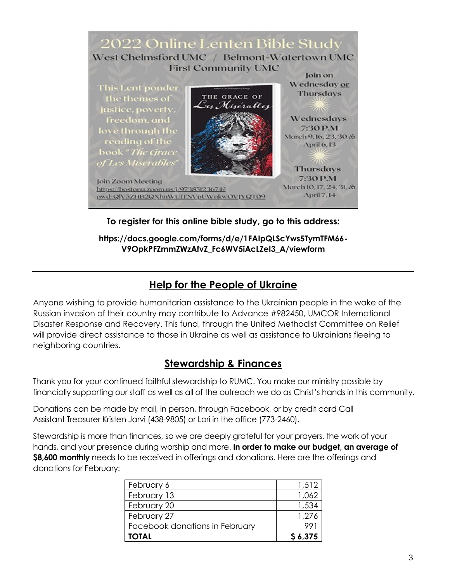

**To register for this online bible study, go to this address:**

**[https://docs.google.com/forms/d/e/1FAIpQLScYws5TymTFM66-](https://docs.google.com/forms/d/e/1FAIpQLScYws5TymTFM66-V9OpkPFZmmZWzAfvZ_Fc6WV5iAcLZeI3_A/viewform) [V9OpkPFZmmZWzAfvZ\\_Fc6WV5iAcLZeI3\\_A/viewform](https://docs.google.com/forms/d/e/1FAIpQLScYws5TymTFM66-V9OpkPFZmmZWzAfvZ_Fc6WV5iAcLZeI3_A/viewform)**

#### **Help for the People of Ukraine**

Anyone wishing to provide humanitarian assistance to the Ukrainian people in the wake of the Russian invasion of their country may contribute to Advance #982450, UMCOR International Disaster Response and Recovery. This fund, through the United Methodist Committee on Relief will provide direct assistance to those in Ukraine as well as assistance to Ukrainians fleeing to neighboring countries.

#### **Stewardship & Finances**

Thank you for your continued faithful stewardship to RUMC. You make our ministry possible by financially supporting our staff as well as all of the outreach we do as Christ's hands in this community.

Donations can be made by mail, in person, through Facebook, or by credit card Call Assistant Treasurer Kristen Jarvi (438-9805) or Lori in the office (773-2460).

Stewardship is more than finances, so we are deeply grateful for your prayers, the work of your hands, and your presence during worship and more. **In order to make our budget, an average of \$8,600 monthly** needs to be received in offerings and donations. Here are the offerings and donations for February:

| <b>TOTAL</b>                   | \$6.375 |
|--------------------------------|---------|
| Facebook donations in February |         |
| February 27                    | 1.276   |
| February 20                    | 1,534   |
| February 13                    | 1,062   |
| February 6                     | 1,512   |